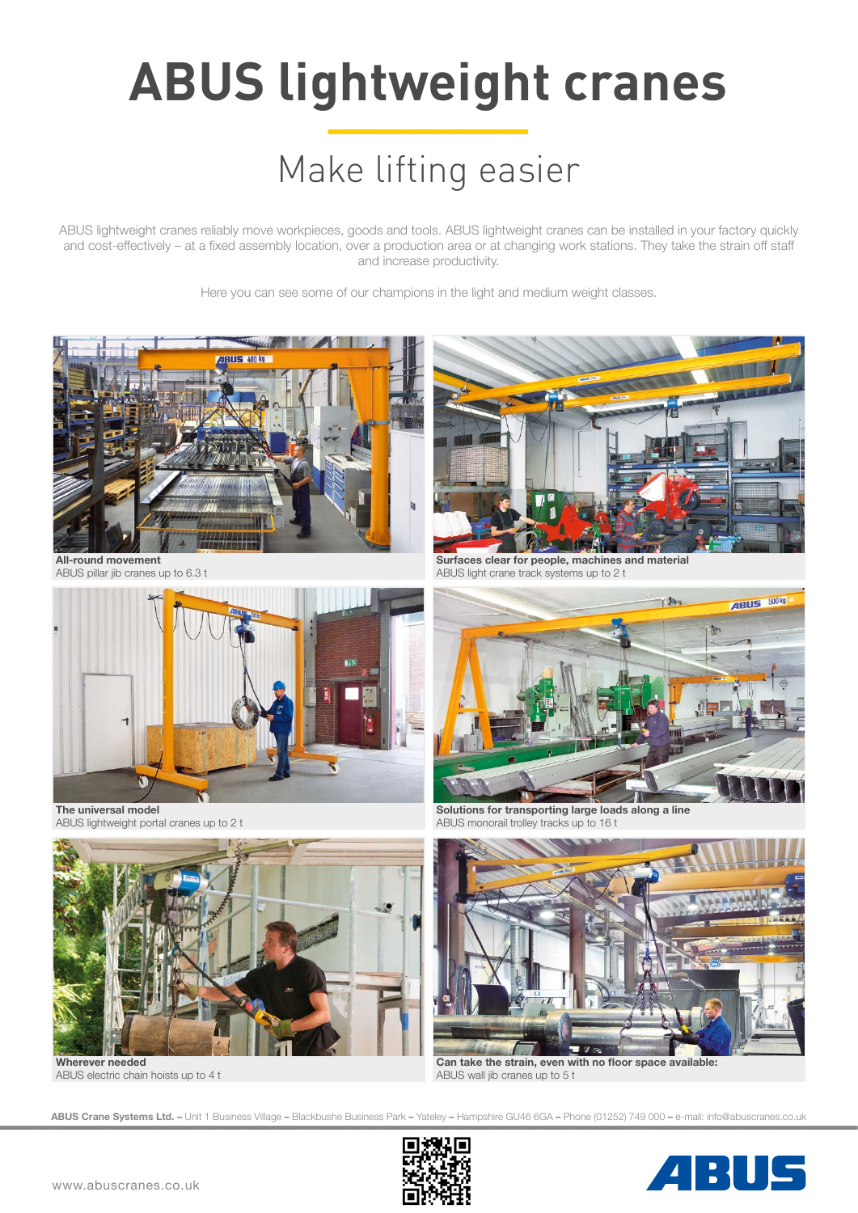# **ABUS lightweight cranes**

## Make lifting easier

ABUS lightweight cranes reliably move workpieces, goods and tools. ABUS lightweight cranes can be installed in your factory quickly and cost-effectively – at a fixed assembly location, over a production area or at changing work stations. They take the strain off staff and increase productivity.

Here you can see some of our champions in the light and medium weight classes.



**ABUS Crane Systems Ltd. –** Unit 1 Business Village **–** Blackbushe Business Park **–** Yateley **–** Hampshire GU46 6GA **–** Phone (01252) 749 000 **–** e-mail: info@abuscranes.co.uk



4 RUS